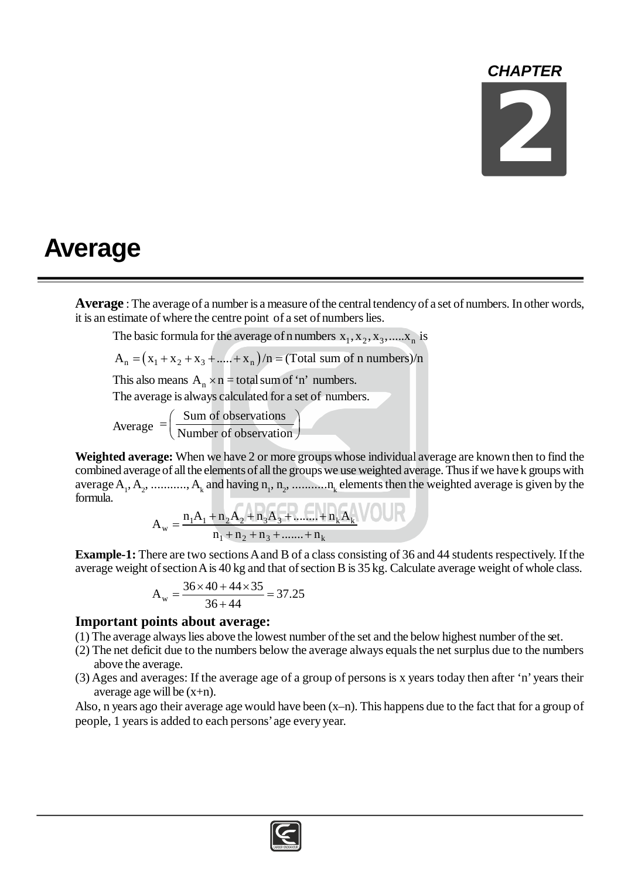## *CHAPTER*



## **Average**

**Average** : The average of a number is a measure of the central tendency of a set of numbers. In other words, it is an estimate of where the centre point of a set of numbers lies.

The basic formula for the average of n numbers  $x_1, x_2, x_3, \ldots, x_n$  is

$$
A_n = (x_1 + x_2 + x_3 + \dots + x_n)/n = (Total sum of n numbers)/n
$$

This also means  $A_n \times n =$  total sum of 'n' numbers.

The average is always calculated for a set of numbers.

Average Sum of observations Number of observation  $=\left(\frac{\text{Sum of observations}}{\text{Number of observation}}\right)^{2}$ 

**Weighted average:** When we have 2 or more groups whose individual average are known then to find the combined average of all the elements of all the groups we use weighted average. Thus if we have k groups with average  $A_1, A_2, \dots, A_k$  and having  $n_1, n_2, \dots, n_k$  elements then the weighted average is given by the formula.

$$
A_w = \frac{n_1 A_1 + n_2 A_2 + n_3 A_3 + \dots + n_k A_k}{n_1 + n_2 + n_3 + \dots + n_k}
$$

**Example-1:** There are two sections A and B of a class consisting of 36 and 44 students respectively. If the average weight of section A is 40 kg and that of section B is 35 kg. Calculate average weight of whole class.

$$
A_w = \frac{36 \times 40 + 44 \times 35}{36 + 44} = 37.25
$$

## **Important points about average:**

- (1) The average always lies above the lowest number of the set and the below highest number of the set.
- (2) The net deficit due to the numbers below the average always equals the net surplus due to the numbers above the average.
- (3) Ages and averages: If the average age of a group of persons is x years today then after 'n' years their average age will be  $(x+n)$ .

Also, n years ago their average age would have been (x–n). This happens due to the fact that for a group of people, 1 years is added to each persons' age every year.